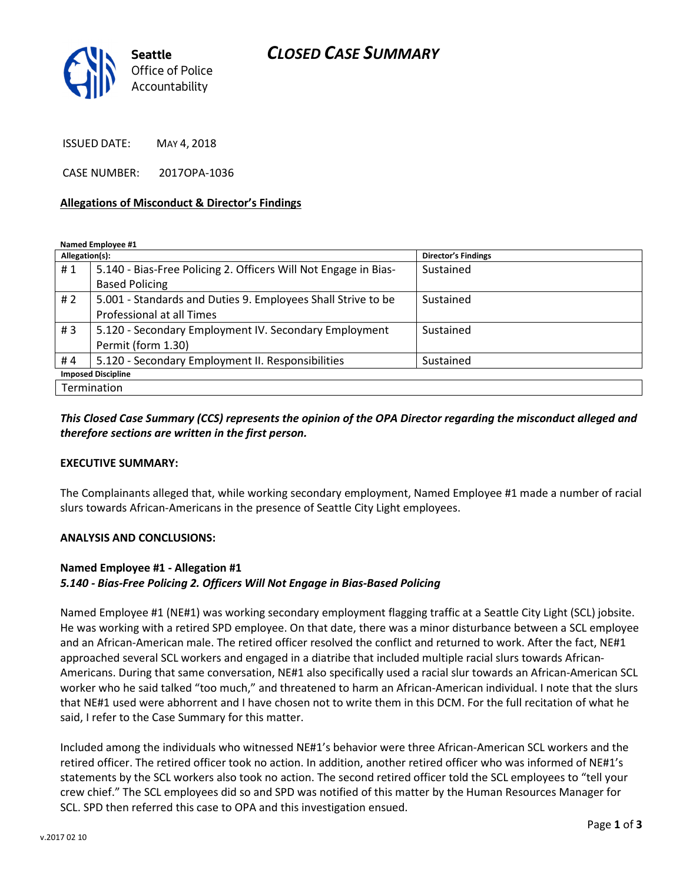# CLOSED CASE SUMMARY



ISSUED DATE: MAY 4, 2018

CASE NUMBER: 2017OPA-1036

#### Allegations of Misconduct & Director's Findings

Named Employee #1

| Allegation(s):            |                                                                 | <b>Director's Findings</b> |
|---------------------------|-----------------------------------------------------------------|----------------------------|
| #1                        | 5.140 - Bias-Free Policing 2. Officers Will Not Engage in Bias- | Sustained                  |
|                           | <b>Based Policing</b>                                           |                            |
| #2                        | 5.001 - Standards and Duties 9. Employees Shall Strive to be    | Sustained                  |
|                           | Professional at all Times                                       |                            |
| #3                        | 5.120 - Secondary Employment IV. Secondary Employment           | Sustained                  |
|                           | Permit (form 1.30)                                              |                            |
| #4                        | 5.120 - Secondary Employment II. Responsibilities               | Sustained                  |
| <b>Imposed Discipline</b> |                                                                 |                            |
| Termination               |                                                                 |                            |

## This Closed Case Summary (CCS) represents the opinion of the OPA Director regarding the misconduct alleged and therefore sections are written in the first person.

#### EXECUTIVE SUMMARY:

The Complainants alleged that, while working secondary employment, Named Employee #1 made a number of racial slurs towards African-Americans in the presence of Seattle City Light employees.

#### ANALYSIS AND CONCLUSIONS:

### Named Employee #1 - Allegation #1

### 5.140 - Bias-Free Policing 2. Officers Will Not Engage in Bias-Based Policing

Named Employee #1 (NE#1) was working secondary employment flagging traffic at a Seattle City Light (SCL) jobsite. He was working with a retired SPD employee. On that date, there was a minor disturbance between a SCL employee and an African-American male. The retired officer resolved the conflict and returned to work. After the fact, NE#1 approached several SCL workers and engaged in a diatribe that included multiple racial slurs towards African-Americans. During that same conversation, NE#1 also specifically used a racial slur towards an African-American SCL worker who he said talked "too much," and threatened to harm an African-American individual. I note that the slurs that NE#1 used were abhorrent and I have chosen not to write them in this DCM. For the full recitation of what he said, I refer to the Case Summary for this matter.

Included among the individuals who witnessed NE#1's behavior were three African-American SCL workers and the retired officer. The retired officer took no action. In addition, another retired officer who was informed of NE#1's statements by the SCL workers also took no action. The second retired officer told the SCL employees to "tell your crew chief." The SCL employees did so and SPD was notified of this matter by the Human Resources Manager for SCL. SPD then referred this case to OPA and this investigation ensued.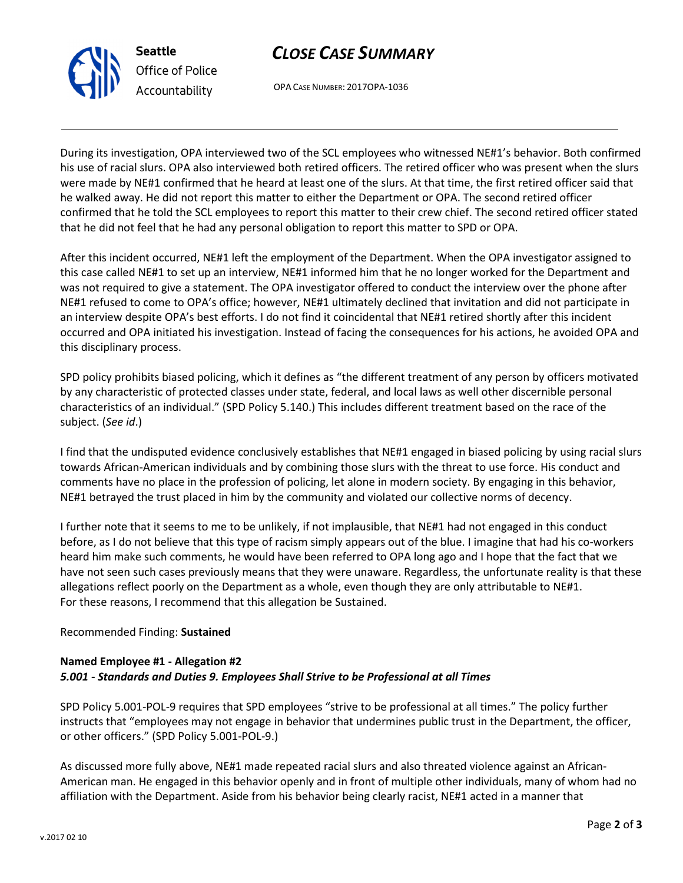



OPA CASE NUMBER: 2017OPA-1036

During its investigation, OPA interviewed two of the SCL employees who witnessed NE#1's behavior. Both confirmed his use of racial slurs. OPA also interviewed both retired officers. The retired officer who was present when the slurs were made by NE#1 confirmed that he heard at least one of the slurs. At that time, the first retired officer said that he walked away. He did not report this matter to either the Department or OPA. The second retired officer confirmed that he told the SCL employees to report this matter to their crew chief. The second retired officer stated that he did not feel that he had any personal obligation to report this matter to SPD or OPA.

After this incident occurred, NE#1 left the employment of the Department. When the OPA investigator assigned to this case called NE#1 to set up an interview, NE#1 informed him that he no longer worked for the Department and was not required to give a statement. The OPA investigator offered to conduct the interview over the phone after NE#1 refused to come to OPA's office; however, NE#1 ultimately declined that invitation and did not participate in an interview despite OPA's best efforts. I do not find it coincidental that NE#1 retired shortly after this incident occurred and OPA initiated his investigation. Instead of facing the consequences for his actions, he avoided OPA and this disciplinary process.

SPD policy prohibits biased policing, which it defines as "the different treatment of any person by officers motivated by any characteristic of protected classes under state, federal, and local laws as well other discernible personal characteristics of an individual." (SPD Policy 5.140.) This includes different treatment based on the race of the subject. (See id.)

I find that the undisputed evidence conclusively establishes that NE#1 engaged in biased policing by using racial slurs towards African-American individuals and by combining those slurs with the threat to use force. His conduct and comments have no place in the profession of policing, let alone in modern society. By engaging in this behavior, NE#1 betrayed the trust placed in him by the community and violated our collective norms of decency.

I further note that it seems to me to be unlikely, if not implausible, that NE#1 had not engaged in this conduct before, as I do not believe that this type of racism simply appears out of the blue. I imagine that had his co-workers heard him make such comments, he would have been referred to OPA long ago and I hope that the fact that we have not seen such cases previously means that they were unaware. Regardless, the unfortunate reality is that these allegations reflect poorly on the Department as a whole, even though they are only attributable to NE#1. For these reasons, I recommend that this allegation be Sustained.

## Recommended Finding: Sustained

## Named Employee #1 - Allegation #2 5.001 - Standards and Duties 9. Employees Shall Strive to be Professional at all Times

SPD Policy 5.001-POL-9 requires that SPD employees "strive to be professional at all times." The policy further instructs that "employees may not engage in behavior that undermines public trust in the Department, the officer, or other officers." (SPD Policy 5.001-POL-9.)

As discussed more fully above, NE#1 made repeated racial slurs and also threated violence against an African-American man. He engaged in this behavior openly and in front of multiple other individuals, many of whom had no affiliation with the Department. Aside from his behavior being clearly racist, NE#1 acted in a manner that